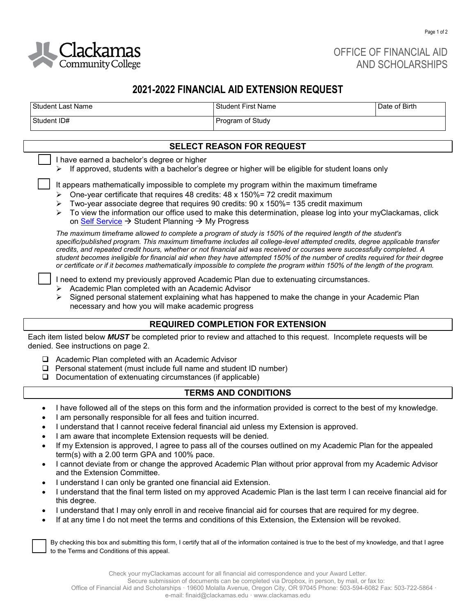

OFFICE OF FINANCIAL AID AND SCHOLARSHIPS

# **2021-2022 FINANCIAL AID EXTENSION REQUEST**

| Student Last Name | l Student First Name    | Date of Birth |
|-------------------|-------------------------|---------------|
| Student ID#       | <b>Program of Study</b> |               |

## **SELECT REASON FOR REQUEST**

I have earned a bachelor's degree or higher

 $\triangleright$  If approved, students with a bachelor's degree or higher will be eligible for student loans only

It appears mathematically impossible to complete my program within the maximum timeframe

- $\geq$  One-year certificate that requires 48 credits: 48 x 150%= 72 credit maximum
- $\triangleright$  Two-year associate degree that requires 90 credits: 90 x 150% = 135 credit maximum
- ➢ To view the information our office used to make this determination, please log into your myClackamas, click on [Self Service](https://selfservice.clackamas.edu/Student/Account/Login?ReturnUrl=%2fStudent%2f%3fhideProxyDialog%3dfalse&hideProxyDialog=false) → Student Planning → My Progress

*The maximum timeframe allowed to complete a program of study is 150% of the required length of the student's specific/published program. This maximum timeframe includes all college-level attempted credits, degree applicable transfer credits, and repeated credit hours, whether or not financial aid was received or courses were successfully completed. A student becomes ineligible for financial aid when they have attempted 150% of the number of credits required for their degree or certificate or if it becomes mathematically impossible to complete the program within 150% of the length of the program.*

❑ I need to extend my previously approved Academic Plan due to extenuating circumstances.

- ➢ Academic Plan completed with an Academic Advisor
- $\triangleright$  Signed personal statement explaining what has happened to make the change in your Academic Plan necessary and how you will make academic progress

## **REQUIRED COMPLETION FOR EXTENSION**

Each item listed below *MUST* be completed prior to review and attached to this request. Incomplete requests will be denied. See instructions on page 2.

- ❑ Academic Plan completed with an Academic Advisor
- ❑ Personal statement (must include full name and student ID number)
- ❑ Documentation of extenuating circumstances (if applicable)

## **TERMS AND CONDITIONS**

- I have followed all of the steps on this form and the information provided is correct to the best of my knowledge.
- I am personally responsible for all fees and tuition incurred.
- I understand that I cannot receive federal financial aid unless my Extension is approved.
- I am aware that incomplete Extension requests will be denied.
- If my Extension is approved, I agree to pass all of the courses outlined on my Academic Plan for the appealed term(s) with a 2.00 term GPA and 100% pace.
- I cannot deviate from or change the approved Academic Plan without prior approval from my Academic Advisor and the Extension Committee.
- I understand I can only be granted one financial aid Extension.
- I understand that the final term listed on my approved Academic Plan is the last term I can receive financial aid for this degree.
- I understand that I may only enroll in and receive financial aid for courses that are required for my degree.
- If at any time I do not meet the terms and conditions of this Extension, the Extension will be revoked.

 By checking this box and submitting this form, I certify that all of the information contained is true to the best of my knowledge, and that I agree to the Terms and Conditions of this appeal.

 Office of Financial Aid and Scholarships · 19600 Molalla Avenue, Oregon City, OR 97045 Phone: 503-594-6082 Fax: 503-722-5864 · e-mail: finaid@clackamas.edu · www.clackamas.edu